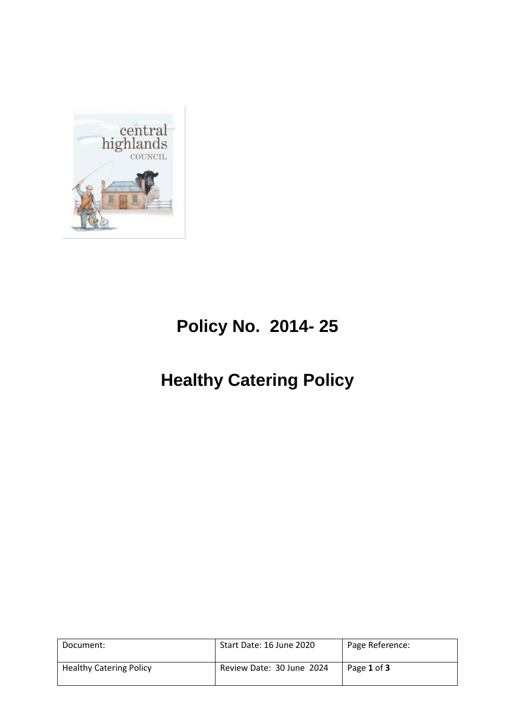

# **Policy No. 2014- 25**

# **Healthy Catering Policy**

| Document:                      | Start Date: 16 June 2020  | Page Reference: |
|--------------------------------|---------------------------|-----------------|
| <b>Healthy Catering Policy</b> | Review Date: 30 June 2024 | Page 1 of 3     |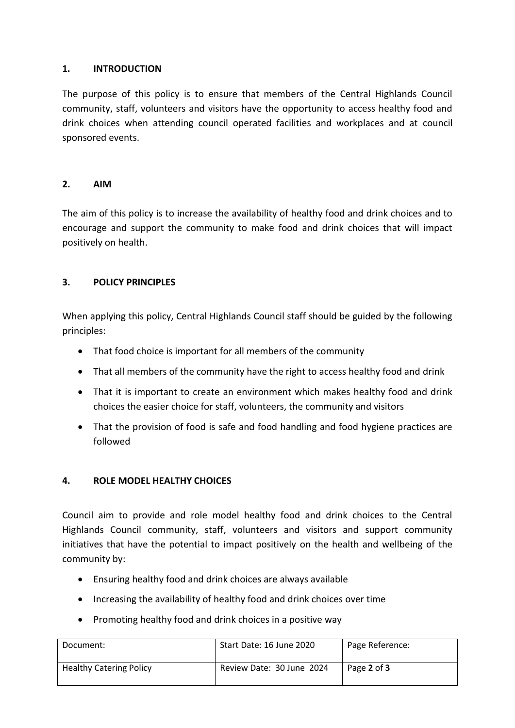## **1. INTRODUCTION**

The purpose of this policy is to ensure that members of the Central Highlands Council community, staff, volunteers and visitors have the opportunity to access healthy food and drink choices when attending council operated facilities and workplaces and at council sponsored events.

#### **2. AIM**

The aim of this policy is to increase the availability of healthy food and drink choices and to encourage and support the community to make food and drink choices that will impact positively on health.

## **3. POLICY PRINCIPLES**

When applying this policy, Central Highlands Council staff should be guided by the following principles:

- That food choice is important for all members of the community
- That all members of the community have the right to access healthy food and drink
- That it is important to create an environment which makes healthy food and drink choices the easier choice for staff, volunteers, the community and visitors
- That the provision of food is safe and food handling and food hygiene practices are followed

## **4. ROLE MODEL HEALTHY CHOICES**

Council aim to provide and role model healthy food and drink choices to the Central Highlands Council community, staff, volunteers and visitors and support community initiatives that have the potential to impact positively on the health and wellbeing of the community by:

- Ensuring healthy food and drink choices are always available
- Increasing the availability of healthy food and drink choices over time
- Promoting healthy food and drink choices in a positive way

| Document:                      | Start Date: 16 June 2020  | Page Reference: |
|--------------------------------|---------------------------|-----------------|
| <b>Healthy Catering Policy</b> | Review Date: 30 June 2024 | Page 2 of 3     |